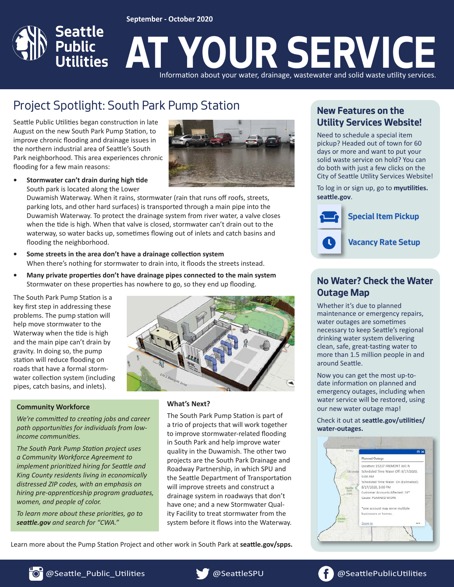#### **September - October 2020**



# Project Spotlight: South Park Pump Station **New Features on the**

Seattle Public Utilities began construction in late August on the new South Park Pump Station, to improve chronic flooding and drainage issues in the northern industrial area of Seattle's South Park neighborhood. This area experiences chronic flooding for a few main reasons:



**• Stormwater can't drain during high tide** South park is located along the Lower

Duwamish Waterway. When it rains, stormwater (rain that runs off roofs, streets, parking lots, and other hard surfaces) is transported through a main pipe into the Duwamish Waterway. To protect the drainage system from river water, a valve closes when the tide is high. When that valve is closed, stormwater can't drain out to the waterway, so water backs up, sometimes flowing out of inlets and catch basins and flooding the neighborhood.

- **• Some streets in the area don't have a drainage collection system** When there's nothing for stormwater to drain into, it floods the streets instead.
- **• Many private properties don't have drainage pipes connected to the main system** Stormwater on these properties has nowhere to go, so they end up flooding.

The South Park Pump Station is a key first step in addressing these problems. The pump station will help move stormwater to the Waterway when the tide is high and the main pipe can't drain by gravity. In doing so, the pump station will reduce flooding on roads that have a formal stormwater collection system (including pipes, catch basins, and inlets).

#### **Community Workforce**

*We're committed to creating jobs and career path opportunities for individuals from lowincome communities.* 

*The South Park Pump Station project uses a Community Workforce Agreement to implement prioritized hiring for Seattle and King County residents living in economically distressed ZIP codes, with an emphasis on hiring pre-apprenticeship program graduates, women, and people of color.* 

*To learn more about these priorities, go to seattle.gov and search for "CWA."*



#### **What's Next?**

The South Park Pump Station is part of a trio of projects that will work together to improve stormwater-related flooding in South Park and help improve water quality in the Duwamish. The other two projects are the South Park Drainage and Roadway Partnership, in which SPU and the Seattle Department of Transportation will improve streets and construct a drainage system in roadways that don't have one; and a new Stormwater Quality Facility to treat stormwater from the system before it flows into the Waterway.

Learn more about the Pump Station Project and other work in South Park at **seattle.gov/spps.**

# **Utility Services Website!**

Need to schedule a special item pickup? Headed out of town for 60 days or more and want to put your solid waste service on hold? You can do both with just a few clicks on the City of Seattle Utility Services Website!

To log in or sign up, go to **myutilities. seattle.gov**.



## **No Water? Check the Water Outage Map**

Whether it's due to planned maintenance or emergency repairs, water outages are sometimes necessary to keep Seattle's regional drinking water system delivering clean, safe, great-tasting water to more than 1.5 million people in and around Seattle.

Now you can get the most up-todate information on planned and emergency outages, including when water service will be restored, using our new water outage map!

Check it out at **seattle.gov/utilities/ water-outages.**



**TOT** @Seattle\_Public\_Utilities & @SeattleSPU @SeattlePublicUtilities